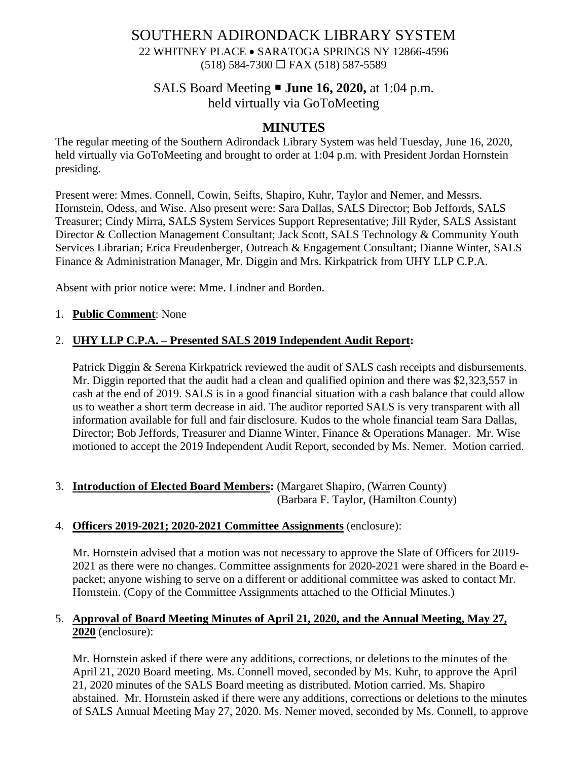# SOUTHERN ADIRONDACK LIBRARY SYSTEM

22 WHITNEY PLACE • SARATOGA SPRINGS NY 12866-4596  $(518)$  584-7300  $\Box$  FAX (518) 587-5589

# SALS Board Meeting **June 16, 2020,** at 1:04 p.m. held virtually via GoToMeeting

# **MINUTES**

The regular meeting of the Southern Adirondack Library System was held Tuesday, June 16, 2020, held virtually via GoToMeeting and brought to order at 1:04 p.m. with President Jordan Hornstein presiding.

Present were: Mmes. Connell, Cowin, Seifts, Shapiro, Kuhr, Taylor and Nemer, and Messrs. Hornstein, Odess, and Wise. Also present were: Sara Dallas, SALS Director; Bob Jeffords, SALS Treasurer; Cindy Mirra, SALS System Services Support Representative; Jill Ryder, SALS Assistant Director & Collection Management Consultant; Jack Scott, SALS Technology & Community Youth Services Librarian; Erica Freudenberger, Outreach & Engagement Consultant; Dianne Winter, SALS Finance & Administration Manager, Mr. Diggin and Mrs. Kirkpatrick from UHY LLP C.P.A.

Absent with prior notice were: Mme. Lindner and Borden.

# 1. **Public Comment**: None

# 2. **UHY LLP C.P.A. – Presented SALS 2019 Independent Audit Report:**

Patrick Diggin & Serena Kirkpatrick reviewed the audit of SALS cash receipts and disbursements. Mr. Diggin reported that the audit had a clean and qualified opinion and there was \$2,323,557 in cash at the end of 2019. SALS is in a good financial situation with a cash balance that could allow us to weather a short term decrease in aid. The auditor reported SALS is very transparent with all information available for full and fair disclosure. Kudos to the whole financial team Sara Dallas, Director; Bob Jeffords, Treasurer and Dianne Winter, Finance & Operations Manager. Mr. Wise motioned to accept the 2019 Independent Audit Report, seconded by Ms. Nemer. Motion carried.

### 3. **Introduction of Elected Board Members:** (Margaret Shapiro, (Warren County) (Barbara F. Taylor, (Hamilton County)

### 4. **Officers 2019-2021; 2020-2021 Committee Assignments** (enclosure):

Mr. Hornstein advised that a motion was not necessary to approve the Slate of Officers for 2019- 2021 as there were no changes. Committee assignments for 2020-2021 were shared in the Board epacket; anyone wishing to serve on a different or additional committee was asked to contact Mr. Hornstein. (Copy of the Committee Assignments attached to the Official Minutes.)

# 5. **Approval of Board Meeting Minutes of April 21, 2020, and the Annual Meeting, May 27, 2020** (enclosure):

Mr. Hornstein asked if there were any additions, corrections, or deletions to the minutes of the April 21, 2020 Board meeting. Ms. Connell moved, seconded by Ms. Kuhr, to approve the April 21, 2020 minutes of the SALS Board meeting as distributed. Motion carried. Ms. Shapiro abstained. Mr. Hornstein asked if there were any additions, corrections or deletions to the minutes of SALS Annual Meeting May 27, 2020. Ms. Nemer moved, seconded by Ms. Connell, to approve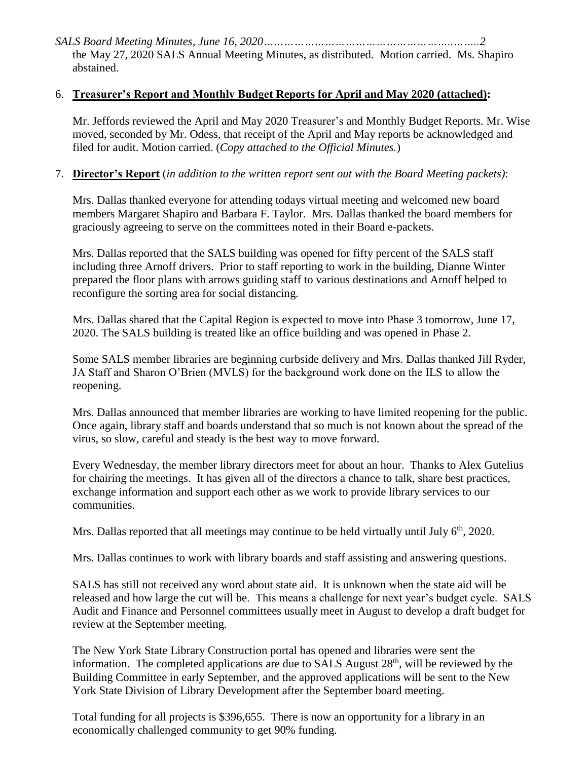*SALS Board Meeting Minutes, June 16, 2020………………………………………………..……..2* the May 27, 2020 SALS Annual Meeting Minutes, as distributed. Motion carried. Ms. Shapiro abstained.

#### 6. **Treasurer's Report and Monthly Budget Reports for April and May 2020 (attached):**

Mr. Jeffords reviewed the April and May 2020 Treasurer's and Monthly Budget Reports. Mr. Wise moved, seconded by Mr. Odess, that receipt of the April and May reports be acknowledged and filed for audit. Motion carried. (*Copy attached to the Official Minutes.*)

#### 7. **Director's Report** (*in addition to the written report sent out with the Board Meeting packets)*:

Mrs. Dallas thanked everyone for attending todays virtual meeting and welcomed new board members Margaret Shapiro and Barbara F. Taylor. Mrs. Dallas thanked the board members for graciously agreeing to serve on the committees noted in their Board e-packets.

Mrs. Dallas reported that the SALS building was opened for fifty percent of the SALS staff including three Arnoff drivers. Prior to staff reporting to work in the building, Dianne Winter prepared the floor plans with arrows guiding staff to various destinations and Arnoff helped to reconfigure the sorting area for social distancing.

Mrs. Dallas shared that the Capital Region is expected to move into Phase 3 tomorrow, June 17, 2020. The SALS building is treated like an office building and was opened in Phase 2.

Some SALS member libraries are beginning curbside delivery and Mrs. Dallas thanked Jill Ryder, JA Staff and Sharon O'Brien (MVLS) for the background work done on the ILS to allow the reopening.

Mrs. Dallas announced that member libraries are working to have limited reopening for the public. Once again, library staff and boards understand that so much is not known about the spread of the virus, so slow, careful and steady is the best way to move forward.

Every Wednesday, the member library directors meet for about an hour. Thanks to Alex Gutelius for chairing the meetings. It has given all of the directors a chance to talk, share best practices, exchange information and support each other as we work to provide library services to our communities.

Mrs. Dallas reported that all meetings may continue to be held virtually until July  $6<sup>th</sup>$ , 2020.

Mrs. Dallas continues to work with library boards and staff assisting and answering questions.

SALS has still not received any word about state aid. It is unknown when the state aid will be released and how large the cut will be. This means a challenge for next year's budget cycle. SALS Audit and Finance and Personnel committees usually meet in August to develop a draft budget for review at the September meeting.

The New York State Library Construction portal has opened and libraries were sent the information. The completed applications are due to SALS August  $28<sup>th</sup>$ , will be reviewed by the Building Committee in early September, and the approved applications will be sent to the New York State Division of Library Development after the September board meeting.

Total funding for all projects is \$396,655. There is now an opportunity for a library in an economically challenged community to get 90% funding.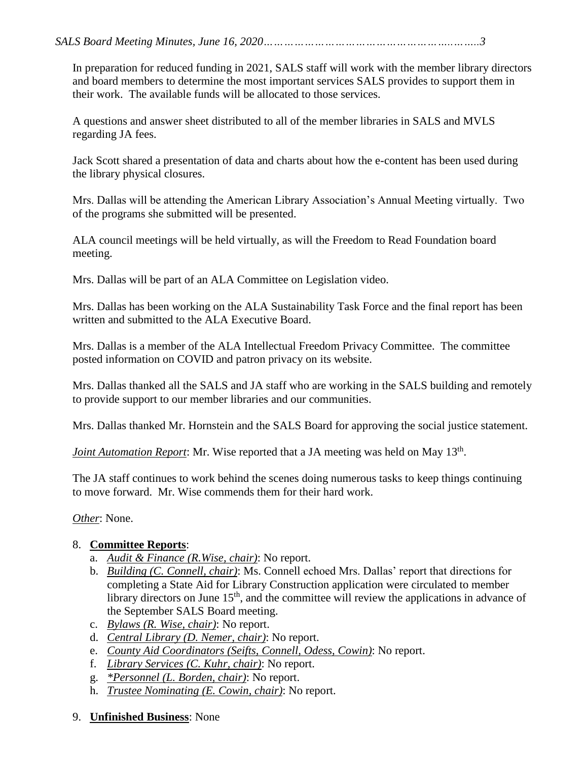*SALS Board Meeting Minutes, June 16, 2020………………………………………………..……..3*

In preparation for reduced funding in 2021, SALS staff will work with the member library directors and board members to determine the most important services SALS provides to support them in their work. The available funds will be allocated to those services.

A questions and answer sheet distributed to all of the member libraries in SALS and MVLS regarding JA fees.

Jack Scott shared a presentation of data and charts about how the e-content has been used during the library physical closures.

Mrs. Dallas will be attending the American Library Association's Annual Meeting virtually. Two of the programs she submitted will be presented.

ALA council meetings will be held virtually, as will the Freedom to Read Foundation board meeting.

Mrs. Dallas will be part of an ALA Committee on Legislation video.

Mrs. Dallas has been working on the ALA Sustainability Task Force and the final report has been written and submitted to the ALA Executive Board.

Mrs. Dallas is a member of the ALA Intellectual Freedom Privacy Committee. The committee posted information on COVID and patron privacy on its website.

Mrs. Dallas thanked all the SALS and JA staff who are working in the SALS building and remotely to provide support to our member libraries and our communities.

Mrs. Dallas thanked Mr. Hornstein and the SALS Board for approving the social justice statement.

Joint Automation Report: Mr. Wise reported that a JA meeting was held on May 13<sup>th</sup>.

The JA staff continues to work behind the scenes doing numerous tasks to keep things continuing to move forward. Mr. Wise commends them for their hard work.

# *Other*: None.

# 8. **Committee Reports**:

- a. *Audit & Finance (R.Wise, chair)*: No report.
- b. *Building (C. Connell, chair)*: Ms. Connell echoed Mrs. Dallas' report that directions for completing a State Aid for Library Construction application were circulated to member library directors on June 15<sup>th</sup>, and the committee will review the applications in advance of the September SALS Board meeting.
- c. *Bylaws (R. Wise, chair)*: No report.
- d. *Central Library (D. Nemer, chair)*: No report.
- e. *County Aid Coordinators (Seifts, Connell, Odess, Cowin)*: No report.
- f. *Library Services (C. Kuhr, chair)*: No report.
- g. *\*Personnel (L. Borden, chair)*: No report.
- h. *Trustee Nominating (E. Cowin, chair)*: No report.
- 9. **Unfinished Business**: None